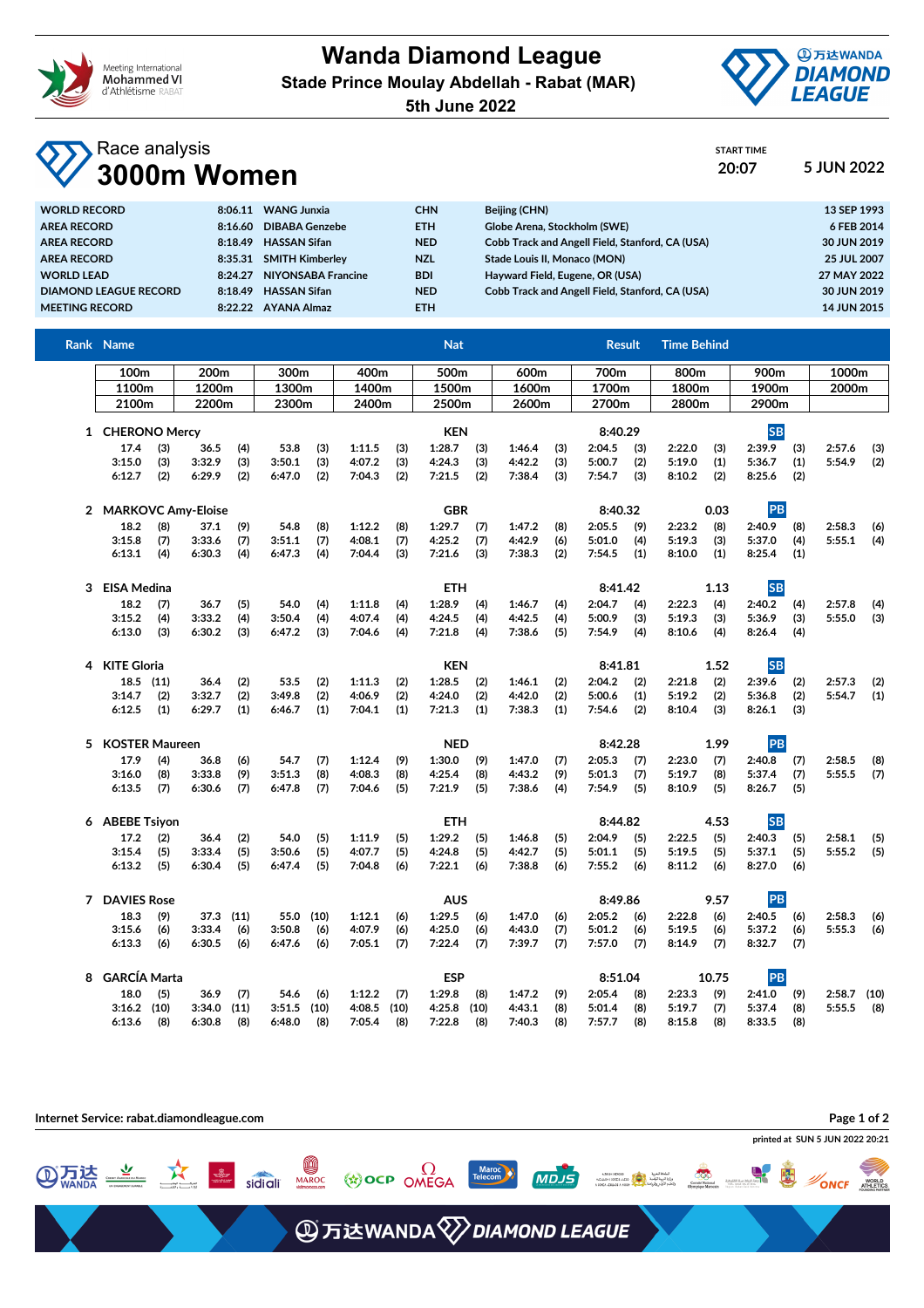

## **Wanda Diamond League Stade Prince Moulay Abdellah - Rabat (MAR)**



START TIME

**5th June 2022**

## Race analysis **3000m Women 20:07 5 JUN 2022**

| <b>WORLD RECORD</b>          | 8:06.11 | <b>WANG Junxia</b>     | <b>CHN</b> | Beijing (CHN)                                   | 13 SEP 1993 |
|------------------------------|---------|------------------------|------------|-------------------------------------------------|-------------|
| <b>AREA RECORD</b>           | 8:16.60 | DIBABA Genzebe         | ETH.       | Globe Arena, Stockholm (SWE)                    | 6 FEB 2014  |
| <b>AREA RECORD</b>           | 8:18.49 | <b>HASSAN Sifan</b>    | <b>NED</b> | Cobb Track and Angell Field, Stanford, CA (USA) | 30 JUN 2019 |
| <b>AREA RECORD</b>           | 8:35.31 | <b>SMITH Kimberley</b> | <b>NZL</b> | Stade Louis II. Monaco (MON)                    | 25 JUL 2007 |
| <b>WORLD LEAD</b>            | 8:24.27 | NIYONSABA Francine     | <b>BDI</b> | Hayward Field, Eugene, OR (USA)                 | 27 MAY 2022 |
| <b>DIAMOND LEAGUE RECORD</b> | 8:18.49 | <b>HASSAN Sifan</b>    | <b>NED</b> | Cobb Track and Angell Field, Stanford, CA (USA) | 30 JUN 2019 |
| <b>MEETING RECORD</b>        | 8:22.22 | AYANA Almaz            | ETH.       |                                                 | 14 JUN 2015 |

| <b>Rank Name</b>     |                      |        |      |            |            |        |            | <b>Nat</b> |         |                 |         |                  | <b>Result</b> | <b>Time Behind</b> |           |        |     |               |     |
|----------------------|----------------------|--------|------|------------|------------|--------|------------|------------|---------|-----------------|---------|------------------|---------------|--------------------|-----------|--------|-----|---------------|-----|
|                      | 100m<br>200m<br>300m |        |      |            | 400m       |        |            | 500m       |         | 600m            |         | 700m             |               | 800m               |           | 900m   |     | 1000m         |     |
| 1100m                |                      | 1200m  |      | 1300m      |            | 1400m  |            | 1500m      |         | 1600m           |         | 1700m            |               | 1800m              |           | 1900m  |     | 2000m         |     |
| 2100m                |                      | 2200m  |      | 2300m      |            |        | 2400m      |            | 2500m   |                 | 2600m   | 2700m            |               | 2800m              |           | 2900m  |     |               |     |
| 1 CHERONO Mercy      |                      |        |      | <b>KEN</b> |            |        |            | 8:40.29    |         |                 |         | <b>SB</b>        |               |                    |           |        |     |               |     |
| 17.4                 | (3)                  | 36.5   | (4)  | 53.8       | (3)        | 1:11.5 | (3)        | 1:28.7     | (3)     | 1:46.4          | (3)     | 2:04.5           | (3)           | 2:22.0             | (3)       | 2:39.9 | (3) | 2:57.6        | (3) |
| 3:15.0               | (3)                  | 3:32.9 | (3)  | 3:50.1     | (3)        | 4:07.2 | (3)        | 4:24.3     | (3)     | 4:42.2          | (3)     | 5:00.7           | (2)           | 5:19.0             | (1)       | 5:36.7 | (1) | 5:54.9        | (2) |
| 6:12.7               | (2)                  | 6:29.9 | (2)  | 6:47.0     | (2)        | 7:04.3 | (2)        | 7:21.5     | (2)     | 7:38.4          | (3)     | 7:54.7           | (3)           | 8:10.2             | (2)       | 8:25.6 | (2) |               |     |
| 2 MARKOVC Amy-Eloise |                      |        |      |            | <b>GBR</b> |        |            |            |         | 8:40.32<br>0.03 |         |                  |               | PB                 |           |        |     |               |     |
| 18.2                 | (8)                  | 37.1   | (9)  | 54.8       | (8)        | 1:12.2 | (8)        | 1:29.7     | (7)     | 1:47.2          | (8)     | 2:05.5           | (9)           | 2:23.2             | (8)       | 2:40.9 | (8) | 2:58.3        | (6) |
| 3:15.8               | (7)                  | 3:33.6 | (7)  | 3:51.1     | (7)        | 4:08.1 | (7)        | 4:25.2     | (7)     | 4:42.9          | (6)     | 5:01.0           | (4)           | 5:19.3             | (3)       | 5:37.0 | (4) | 5:55.1        | (4) |
| 6:13.1               | (4)                  | 6:30.3 | (4)  | 6:47.3     | (4)        | 7:04.4 | (3)        | 7:21.6     | (3)     | 7:38.3          | (2)     | 7:54.5           | (1)           | 8:10.0             | (1)       | 8:25.4 | (1) |               |     |
| 3 EISA Medina        |                      |        |      |            |            |        |            | <b>ETH</b> |         |                 | 8:41.42 |                  | 1.13          |                    | <b>SB</b> |        |     |               |     |
| 18.2                 | (7)                  | 36.7   | (5)  | 54.0       | (4)        | 1:11.8 | (4)        | 1:28.9     | (4)     | 1:46.7          | (4)     | 2:04.7           | (4)           | 2:22.3             | (4)       | 2:40.2 | (4) | 2:57.8        | (4) |
| 3:15.2               | (4)                  | 3:33.2 | (4)  | 3:50.4     | (4)        | 4:07.4 | (4)        | 4:24.5     | (4)     | 4:42.5          | (4)     | 5:00.9           | (3)           | 5:19.3             | (3)       | 5:36.9 | (3) | 5:55.0        | (3) |
| 6:13.0               | (3)                  | 6:30.2 | (3)  | 6:47.2     | (3)        | 7:04.6 | (4)        | 7:21.8     | (4)     | 7:38.6          | (5)     | 7:54.9           | (4)           | 8:10.6             | (4)       | 8:26.4 | (4) |               |     |
|                      | 4 KITE Gloria        |        |      |            | <b>KEN</b> |        |            |            |         | 8:41.81         |         |                  | 1.52          | <b>SB</b>          |           |        |     |               |     |
| $18.5$ (11)          |                      | 36.4   | (2)  | 53.5       | (2)        | 1:11.3 | (2)        | 1:28.5     | (2)     | 1:46.1          | (2)     | 2:04.2           | (2)           | 2:21.8             | (2)       | 2:39.6 | (2) | 2:57.3        | (2) |
| 3:14.7               | (2)                  | 3:32.7 | (2)  | 3:49.8     | (2)        | 4:06.9 | (2)        | 4:24.0     | (2)     | 4:42.0          | (2)     | 5:00.6           | (1)           | 5:19.2             | (2)       | 5:36.8 | (2) | 5:54.7        | (1) |
| 6:12.5               | (1)                  | 6:29.7 | (1)  | 6:46.7     | (1)        | 7:04.1 | (1)        | 7:21.3     | (1)     | 7:38.3          | (1)     | 7:54.6           | (2)           | 8:10.4             | (3)       | 8:26.1 | (3) |               |     |
|                      | 5 KOSTER Maureen     |        |      | <b>NED</b> |            |        |            |            | 8:42.28 |                 |         | 1.99             | PB            |                    |           |        |     |               |     |
| 17.9                 | (4)                  | 36.8   | (6)  | 54.7       | (7)        | 1:12.4 | (9)        | 1:30.0     | (9)     | 1:47.0          | (7)     | 2:05.3           | (7)           | 2:23.0             | (7)       | 2:40.8 | (7) | 2:58.5        | (8) |
| 3:16.0               | (8)                  | 3:33.8 | (9)  | 3:51.3     | (8)        | 4:08.3 | (8)        | 4:25.4     | (8)     | 4:43.2          | (9)     | 5:01.3           | (7)           | 5:19.7             | (8)       | 5:37.4 | (7) | 5:55.5        | (7) |
| 6:13.5               | (7)                  | 6:30.6 | (7)  | 6:47.8     | (7)        | 7:04.6 | (5)        | 7:21.9     | (5)     | 7:38.6          | (4)     | 7:54.9           | (5)           | 8:10.9             | (5)       | 8:26.7 | (5) |               |     |
| 6 ABEBE Tsiyon       |                      |        |      |            | ETH        |        |            |            | 8:44.82 |                 |         | 4.53             | <b>SB</b>     |                    |           |        |     |               |     |
| 17.2                 | (2)                  | 36.4   | (2)  | 54.0       | (5)        | 1:11.9 | (5)        | 1:29.2     | (5)     | 1:46.8          | (5)     | 2:04.9           | (5)           | 2:22.5             | (5)       | 2:40.3 | (5) | 2:58.1        | (5) |
| 3:15.4               | (5)                  | 3:33.4 | (5)  | 3:50.6     | (5)        | 4:07.7 | (5)        | 4:24.8     | (5)     | 4:42.7          | (5)     | 5:01.1           | (5)           | 5:19.5             | (5)       | 5:37.1 | (5) | 5:55.2        | (5) |
| 6:13.2               | (5)                  | 6:30.4 | (5)  | 6:47.4     | (5)        | 7:04.8 | (6)        | 7:22.1     | (6)     | 7:38.8          | (6)     | 7:55.2           | (6)           | 8:11.2             | (6)       | 8:27.0 | (6) |               |     |
| 7 DAVIES Rose        |                      |        |      |            |            |        |            | <b>AUS</b> |         |                 |         | 8:49.86          |               | 9.57               |           | PB     |     |               |     |
| 18.3                 | (9)                  | 37.3   | (11) | 55.0       | (10)       | 1:12.1 | (6)        | 1:29.5     | (6)     | 1:47.0          | (6)     | 2:05.2           | (6)           | 2:22.8             | (6)       | 2:40.5 | (6) | 2:58.3        | (6) |
| 3:15.6               | (6)                  | 3:33.4 | (6)  | 3:50.8     | (6)        | 4:07.9 | (6)        | 4:25.0     | (6)     | 4:43.0          | (7)     | 5:01.2           | (6)           | 5:19.5             | (6)       | 5:37.2 | (6) | 5:55.3        | (6) |
| 6:13.3               | (6)                  | 6:30.5 | (6)  | 6:47.6     | (6)        | 7:05.1 | (7)        | 7:22.4     | (7)     | 7:39.7          | (7)     | 7:57.0           | (7)           | 8:14.9             | (7)       | 8:32.7 | (7) |               |     |
| 8 GARCÍA Marta       |                      |        |      |            |            |        | <b>ESP</b> |            |         |                 |         | 8:51.04<br>10.75 |               |                    |           | PB     |     |               |     |
| 18.0                 | (5)                  | 36.9   | (7)  | 54.6       | (6)        | 1:12.2 | (7)        | 1:29.8     | (8)     | 1:47.2          | (9)     | 2:05.4           | (8)           | 2:23.3             | (9)       | 2:41.0 | (9) | $2:58.7$ (10) |     |
| $3:16.2$ (10)        |                      | 3:34.0 | (11) | 3:51.5     | (10)       | 4:08.5 | (10)       | 4:25.8     | (10)    | 4:43.1          | (8)     | 5:01.4           | (8)           | 5:19.7             | (7)       | 5:37.4 | (8) | 5:55.5        | (8) |
| 6:13.6               | (8)                  | 6:30.8 | (8)  | 6:48.0     | (8)        | 7:05.4 | (8)        | 7:22.8     | (8)     | 7:40.3          | (8)     | 7:57.7           | (8)           | 8:15.8             | (8)       | 8:33.5 | (8) |               |     |